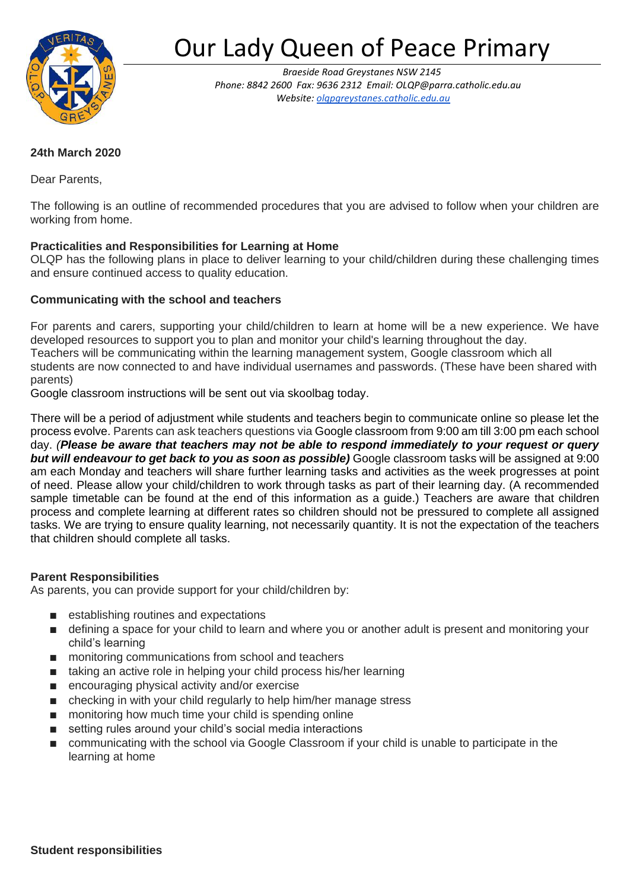

# Our Lady Queen of Peace Primary

*Braeside Road Greystanes NSW 2145 Phone: 8842 2600 Fax: 9636 2312 Email[: OLQP@parra.catholic.edu.au](mailto:OLQP@parra.catholic.edu.au)  Website[: olqpgreystanes.catholic.edu.au](http://www.olqpgreystanes.catholic.edu.au/)*

## **24th March 2020**

Dear Parents,

The following is an outline of recommended procedures that you are advised to follow when your children are working from home.

## **Practicalities and Responsibilities for Learning at Home**

OLQP has the following plans in place to deliver learning to your child/children during these challenging times and ensure continued access to quality education.

## **Communicating with the school and teachers**

For parents and carers, supporting your child/children to learn at home will be a new experience. We have developed resources to support you to plan and monitor your child's learning throughout the day. Teachers will be communicating within the learning management system, Google classroom which all students are now connected to and have individual usernames and passwords. (These have been shared with parents)

Google classroom instructions will be sent out via skoolbag today.

There will be a period of adjustment while students and teachers begin to communicate online so please let the process evolve. Parents can ask teachers questions via Google classroom from 9:00 am till 3:00 pm each school day. *(Please be aware that teachers may not be able to respond immediately to your request or query but will endeavour to get back to you as soon as possible)* Google classroom tasks will be assigned at 9:00 am each Monday and teachers will share further learning tasks and activities as the week progresses at point of need. Please allow your child/children to work through tasks as part of their learning day. (A recommended sample timetable can be found at the end of this information as a guide.) Teachers are aware that children process and complete learning at different rates so children should not be pressured to complete all assigned tasks. We are trying to ensure quality learning, not necessarily quantity. It is not the expectation of the teachers that children should complete all tasks.

#### **Parent Responsibilities**

As parents, you can provide support for your child/children by:

- establishing routines and expectations
- defining a space for your child to learn and where you or another adult is present and monitoring your child's learning
- monitoring communications from school and teachers
- taking an active role in helping your child process his/her learning
- encouraging physical activity and/or exercise
- checking in with your child regularly to help him/her manage stress
- monitoring how much time your child is spending online
- setting rules around your child's social media interactions
- communicating with the school via Google Classroom if your child is unable to participate in the learning at home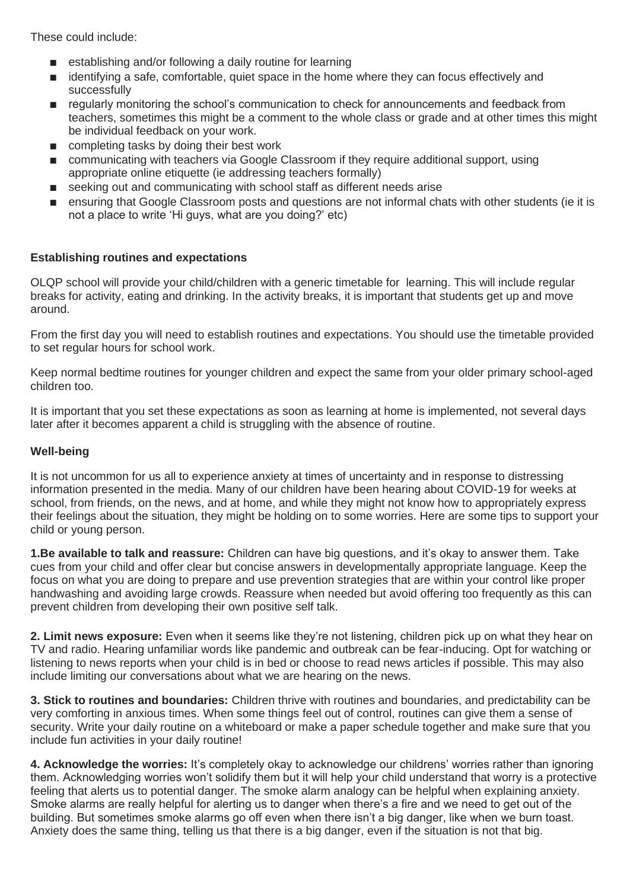These could include:

- establishing and/or following a daily routine for learning
- identifying a safe, comfortable, quiet space in the home where they can focus effectively and successfully
- regularly monitoring the school's communication to check for announcements and feedback from teachers, sometimes this might be a comment to the whole class or grade and at other times this might be individual feedback on your work.
- completing tasks by doing their best work
- communicating with teachers via Google Classroom if they require additional support, using appropriate online etiquette (ie addressing teachers formally)
- seeking out and communicating with school staff as different needs arise
- ensuring that Google Classroom posts and questions are not informal chats with other students (ie it is not a place to write 'Hi guys, what are you doing?' etc)

#### **Establishing routines and expectations**

OLQP school will provide your child/children with a generic timetable for learning. This will include regular breaks for activity, eating and drinking. In the activity breaks, it is important that students get up and move around.

From the first day you will need to establish routines and expectations. You should use the timetable provided to set regular hours for school work.

Keep normal bedtime routines for younger children and expect the same from your older primary school-aged children too.

It is important that you set these expectations as soon as learning at home is implemented, not several days later after it becomes apparent a child is struggling with the absence of routine.

#### **Well-being**

It is not uncommon for us all to experience anxiety at times of uncertainty and in response to distressing information presented in the media. Many of our children have been hearing about COVID-19 for weeks at school, from friends, on the news, and at home, and while they might not know how to appropriately express their feelings about the situation, they might be holding on to some worries. Here are some tips to support your child or young person.

**1.Be available to talk and reassure:** Children can have big questions, and it's okay to answer them. Take cues from your child and offer clear but concise answers in developmentally appropriate language. Keep the focus on what you are doing to prepare and use prevention strategies that are within your control like proper handwashing and avoiding large crowds. Reassure when needed but avoid offering too frequently as this can prevent children from developing their own positive self talk.

**2. Limit news exposure:** Even when it seems like they're not listening, children pick up on what they hear on TV and radio. Hearing unfamiliar words like pandemic and outbreak can be fear-inducing. Opt for watching or listening to news reports when your child is in bed or choose to read news articles if possible. This may also include limiting our conversations about what we are hearing on the news.

**3. Stick to routines and boundaries:** Children thrive with routines and boundaries, and predictability can be very comforting in anxious times. When some things feel out of control, routines can give them a sense of security. Write your daily routine on a whiteboard or make a paper schedule together and make sure that you include fun activities in your daily routine!

**4. Acknowledge the worries:** It's completely okay to acknowledge our childrens' worries rather than ignoring them. Acknowledging worries won't solidify them but it will help your child understand that worry is a protective feeling that alerts us to potential danger. The smoke alarm analogy can be helpful when explaining anxiety. Smoke alarms are really helpful for alerting us to danger when there's a fire and we need to get out of the building. But sometimes smoke alarms go off even when there isn't a big danger, like when we burn toast. Anxiety does the same thing, telling us that there is a big danger, even if the situation is not that big.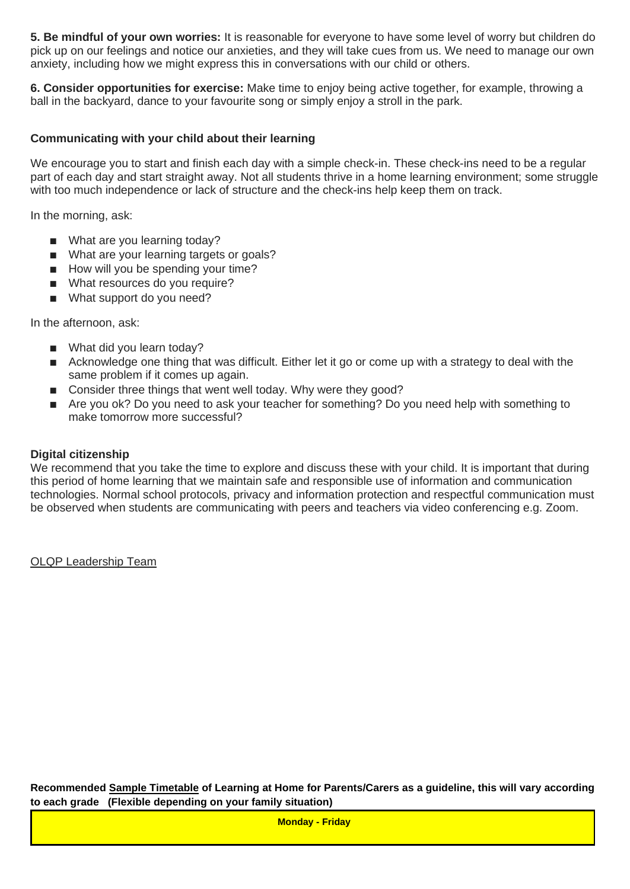**5. Be mindful of your own worries:** It is reasonable for everyone to have some level of worry but children do pick up on our feelings and notice our anxieties, and they will take cues from us. We need to manage our own anxiety, including how we might express this in conversations with our child or others.

**6. Consider opportunities for exercise:** Make time to enjoy being active together, for example, throwing a ball in the backyard, dance to your favourite song or simply enjoy a stroll in the park.

### **Communicating with your child about their learning**

We encourage you to start and finish each day with a simple check-in. These check-ins need to be a regular part of each day and start straight away. Not all students thrive in a home learning environment; some struggle with too much independence or lack of structure and the check-ins help keep them on track.

In the morning, ask:

- What are you learning today?
- What are your learning targets or goals?
- How will you be spending your time?
- What resources do you require?
- What support do you need?

In the afternoon, ask:

- What did you learn today?
- Acknowledge one thing that was difficult. Either let it go or come up with a strategy to deal with the same problem if it comes up again.
- Consider three things that went well today. Why were they good?
- Are you ok? Do you need to ask your teacher for something? Do you need help with something to make tomorrow more successful?

#### **Digital citizenship**

We recommend that you take the time to explore and discuss these with your child. It is important that during this period of home learning that we maintain safe and responsible use of information and communication technologies. Normal school protocols, privacy and information protection and respectful communication must be observed when students are communicating with peers and teachers via video conferencing e.g. Zoom.

OLQP Leadership Team

**Recommended Sample Timetable of Learning at Home for Parents/Carers as a guideline, this will vary according to each grade (Flexible depending on your family situation)**